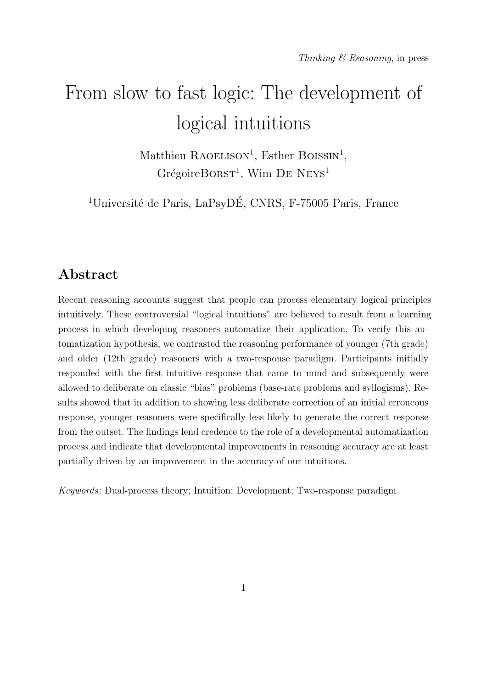# From slow to fast logic: The development of logical intuitions

Matthieu RAOELISON<sup>1</sup>, Esther BOISSIN<sup>1</sup>,  $Gr\acute{e}goireBORST<sup>1</sup>$ , Wim DE NEYS<sup>1</sup>

<sup>1</sup>Université de Paris, LaPsyDÉ, CNRS, F-75005 Paris, France

## Abstract

Recent reasoning accounts suggest that people can process elementary logical principles intuitively. These controversial "logical intuitions" are believed to result from a learning process in which developing reasoners automatize their application. To verify this automatization hypothesis, we contrasted the reasoning performance of younger (7th grade) and older (12th grade) reasoners with a two-response paradigm. Participants initially responded with the first intuitive response that came to mind and subsequently were allowed to deliberate on classic "bias" problems (base-rate problems and syllogisms). Results showed that in addition to showing less deliberate correction of an initial erroneous response, younger reasoners were specifically less likely to generate the correct response from the outset. The findings lend credence to the role of a developmental automatization process and indicate that developmental improvements in reasoning accuracy are at least partially driven by an improvement in the accuracy of our intuitions.

Keywords: Dual-process theory; Intuition; Development; Two-response paradigm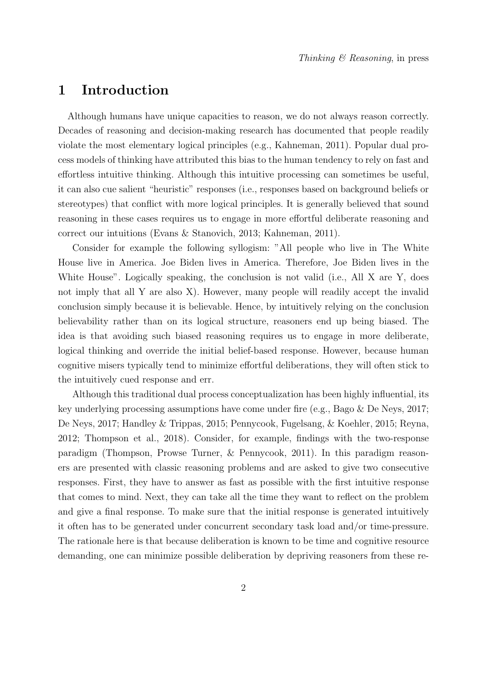## 1 Introduction

Although humans have unique capacities to reason, we do not always reason correctly. Decades of reasoning and decision-making research has documented that people readily violate the most elementary logical principles (e.g., Kahneman, 2011). Popular dual process models of thinking have attributed this bias to the human tendency to rely on fast and effortless intuitive thinking. Although this intuitive processing can sometimes be useful, it can also cue salient "heuristic" responses (i.e., responses based on background beliefs or stereotypes) that conflict with more logical principles. It is generally believed that sound reasoning in these cases requires us to engage in more effortful deliberate reasoning and correct our intuitions (Evans & Stanovich, 2013; Kahneman, 2011).

Consider for example the following syllogism: "All people who live in The White House live in America. Joe Biden lives in America. Therefore, Joe Biden lives in the White House". Logically speaking, the conclusion is not valid (i.e., All X are Y, does not imply that all Y are also X). However, many people will readily accept the invalid conclusion simply because it is believable. Hence, by intuitively relying on the conclusion believability rather than on its logical structure, reasoners end up being biased. The idea is that avoiding such biased reasoning requires us to engage in more deliberate, logical thinking and override the initial belief-based response. However, because human cognitive misers typically tend to minimize effortful deliberations, they will often stick to the intuitively cued response and err.

Although this traditional dual process conceptualization has been highly influential, its key underlying processing assumptions have come under fire (e.g., Bago & De Neys, 2017; De Neys, 2017; Handley & Trippas, 2015; Pennycook, Fugelsang, & Koehler, 2015; Reyna, 2012; Thompson et al., 2018). Consider, for example, findings with the two-response paradigm (Thompson, Prowse Turner, & Pennycook, 2011). In this paradigm reasoners are presented with classic reasoning problems and are asked to give two consecutive responses. First, they have to answer as fast as possible with the first intuitive response that comes to mind. Next, they can take all the time they want to reflect on the problem and give a final response. To make sure that the initial response is generated intuitively it often has to be generated under concurrent secondary task load and/or time-pressure. The rationale here is that because deliberation is known to be time and cognitive resource demanding, one can minimize possible deliberation by depriving reasoners from these re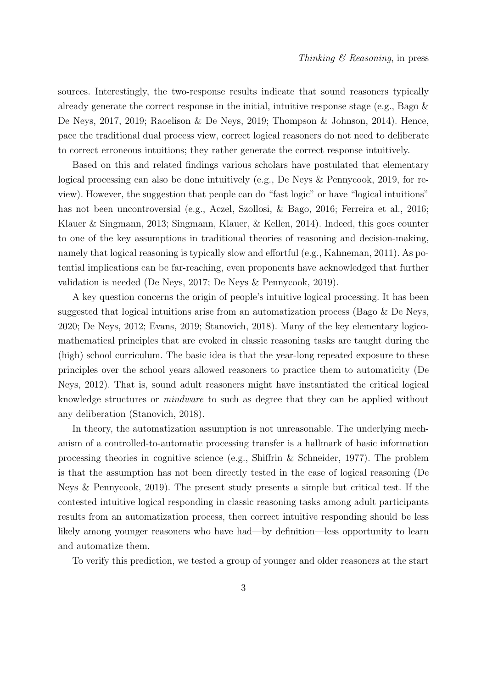sources. Interestingly, the two-response results indicate that sound reasoners typically already generate the correct response in the initial, intuitive response stage (e.g., Bago  $\&$ De Neys, 2017, 2019; Raoelison & De Neys, 2019; Thompson & Johnson, 2014). Hence, pace the traditional dual process view, correct logical reasoners do not need to deliberate to correct erroneous intuitions; they rather generate the correct response intuitively.

Based on this and related findings various scholars have postulated that elementary logical processing can also be done intuitively (e.g., De Neys & Pennycook, 2019, for review). However, the suggestion that people can do "fast logic" or have "logical intuitions" has not been uncontroversial (e.g., Aczel, Szollosi, & Bago, 2016; Ferreira et al., 2016; Klauer & Singmann, 2013; Singmann, Klauer, & Kellen, 2014). Indeed, this goes counter to one of the key assumptions in traditional theories of reasoning and decision-making, namely that logical reasoning is typically slow and effortful (e.g., Kahneman, 2011). As potential implications can be far-reaching, even proponents have acknowledged that further validation is needed (De Neys, 2017; De Neys & Pennycook, 2019).

A key question concerns the origin of people's intuitive logical processing. It has been suggested that logical intuitions arise from an automatization process (Bago  $\&$  De Neys, 2020; De Neys, 2012; Evans, 2019; Stanovich, 2018). Many of the key elementary logicomathematical principles that are evoked in classic reasoning tasks are taught during the (high) school curriculum. The basic idea is that the year-long repeated exposure to these principles over the school years allowed reasoners to practice them to automaticity (De Neys, 2012). That is, sound adult reasoners might have instantiated the critical logical knowledge structures or mindware to such as degree that they can be applied without any deliberation (Stanovich, 2018).

In theory, the automatization assumption is not unreasonable. The underlying mechanism of a controlled-to-automatic processing transfer is a hallmark of basic information processing theories in cognitive science (e.g., Shiffrin & Schneider, 1977). The problem is that the assumption has not been directly tested in the case of logical reasoning (De Neys & Pennycook, 2019). The present study presents a simple but critical test. If the contested intuitive logical responding in classic reasoning tasks among adult participants results from an automatization process, then correct intuitive responding should be less likely among younger reasoners who have had—by definition—less opportunity to learn and automatize them.

To verify this prediction, we tested a group of younger and older reasoners at the start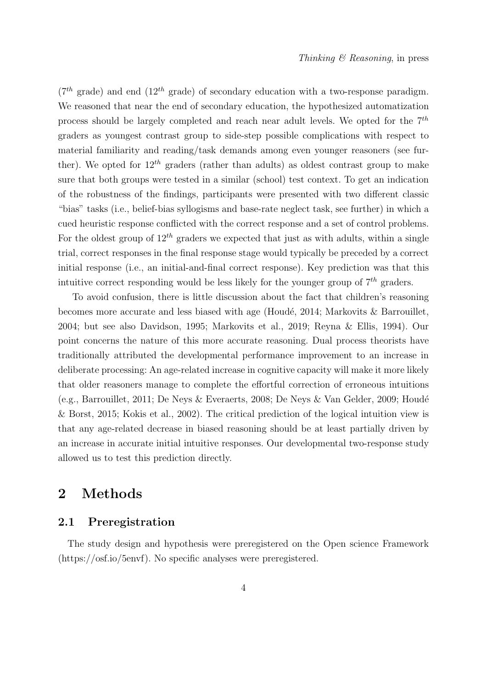$(7<sup>th</sup> \text{ grade})$  and end  $(12<sup>th</sup> \text{ grade})$  of secondary education with a two-response paradigm. We reasoned that near the end of secondary education, the hypothesized automatization process should be largely completed and reach near adult levels. We opted for the  $7<sup>th</sup>$ graders as youngest contrast group to side-step possible complications with respect to material familiarity and reading/task demands among even younger reasoners (see further). We opted for  $12^{th}$  graders (rather than adults) as oldest contrast group to make sure that both groups were tested in a similar (school) test context. To get an indication of the robustness of the findings, participants were presented with two different classic "bias" tasks (i.e., belief-bias syllogisms and base-rate neglect task, see further) in which a cued heuristic response conflicted with the correct response and a set of control problems. For the oldest group of  $12^{th}$  graders we expected that just as with adults, within a single trial, correct responses in the final response stage would typically be preceded by a correct initial response (i.e., an initial-and-final correct response). Key prediction was that this intuitive correct responding would be less likely for the younger group of  $7<sup>th</sup>$  graders.

To avoid confusion, there is little discussion about the fact that children's reasoning becomes more accurate and less biased with age (Houdé, 2014; Markovits  $\&$  Barrouillet, 2004; but see also Davidson, 1995; Markovits et al., 2019; Reyna & Ellis, 1994). Our point concerns the nature of this more accurate reasoning. Dual process theorists have traditionally attributed the developmental performance improvement to an increase in deliberate processing: An age-related increase in cognitive capacity will make it more likely that older reasoners manage to complete the effortful correction of erroneous intuitions (e.g., Barrouillet, 2011; De Neys & Everaerts, 2008; De Neys & Van Gelder, 2009; Houdé & Borst, 2015; Kokis et al., 2002). The critical prediction of the logical intuition view is that any age-related decrease in biased reasoning should be at least partially driven by an increase in accurate initial intuitive responses. Our developmental two-response study allowed us to test this prediction directly.

## 2 Methods

### 2.1 Preregistration

The study design and hypothesis were preregistered on the Open science Framework (https://osf.io/5envf). No specific analyses were preregistered.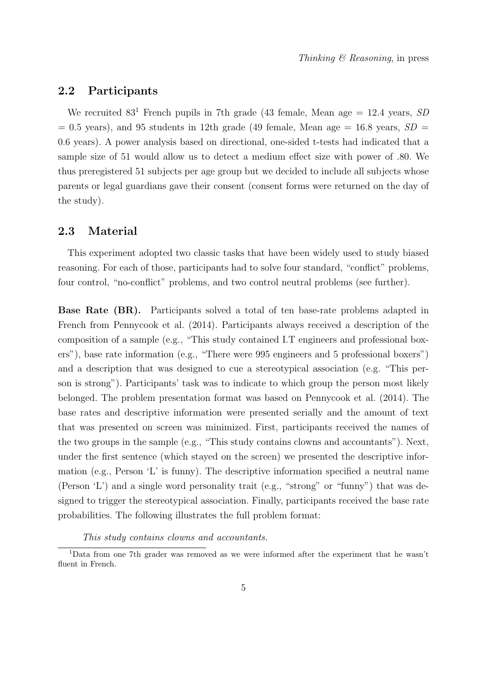### 2.2 Participants

We recruited  $83<sup>1</sup>$  French pupils in 7th grade (43 female, Mean age = 12.4 years, SD  $= 0.5$  years), and 95 students in 12th grade (49 female, Mean age  $= 16.8$  years,  $SD =$ 0.6 years). A power analysis based on directional, one-sided t-tests had indicated that a sample size of 51 would allow us to detect a medium effect size with power of .80. We thus preregistered 51 subjects per age group but we decided to include all subjects whose parents or legal guardians gave their consent (consent forms were returned on the day of the study).

#### 2.3 Material

This experiment adopted two classic tasks that have been widely used to study biased reasoning. For each of those, participants had to solve four standard, "conflict" problems, four control, "no-conflict" problems, and two control neutral problems (see further).

Base Rate (BR). Participants solved a total of ten base-rate problems adapted in French from Pennycook et al. (2014). Participants always received a description of the composition of a sample (e.g., "This study contained I.T engineers and professional boxers"), base rate information (e.g., "There were 995 engineers and 5 professional boxers") and a description that was designed to cue a stereotypical association (e.g. "This person is strong"). Participants' task was to indicate to which group the person most likely belonged. The problem presentation format was based on Pennycook et al. (2014). The base rates and descriptive information were presented serially and the amount of text that was presented on screen was minimized. First, participants received the names of the two groups in the sample (e.g., "This study contains clowns and accountants"). Next, under the first sentence (which stayed on the screen) we presented the descriptive information (e.g., Person 'L' is funny). The descriptive information specified a neutral name (Person 'L') and a single word personality trait (e.g., "strong" or "funny") that was designed to trigger the stereotypical association. Finally, participants received the base rate probabilities. The following illustrates the full problem format:

This study contains clowns and accountants.

<sup>1</sup>Data from one 7th grader was removed as we were informed after the experiment that he wasn't fluent in French.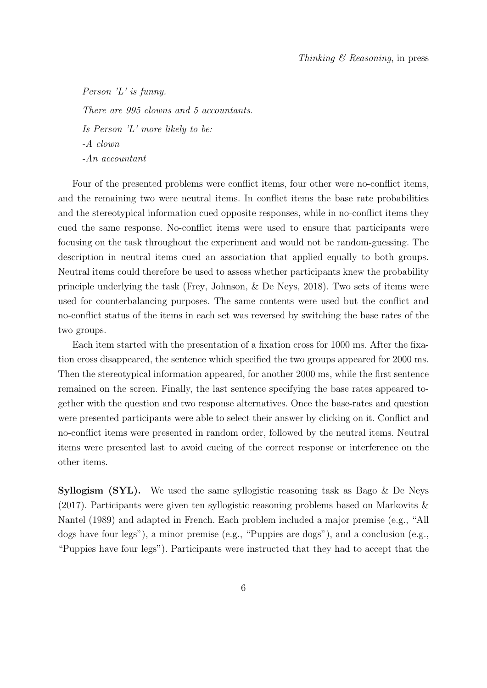Person 'L' is funny. There are 995 clowns and 5 accountants. Is Person 'L' more likely to be: -A clown -An accountant

Four of the presented problems were conflict items, four other were no-conflict items, and the remaining two were neutral items. In conflict items the base rate probabilities and the stereotypical information cued opposite responses, while in no-conflict items they cued the same response. No-conflict items were used to ensure that participants were focusing on the task throughout the experiment and would not be random-guessing. The description in neutral items cued an association that applied equally to both groups. Neutral items could therefore be used to assess whether participants knew the probability principle underlying the task (Frey, Johnson, & De Neys, 2018). Two sets of items were used for counterbalancing purposes. The same contents were used but the conflict and no-conflict status of the items in each set was reversed by switching the base rates of the two groups.

Each item started with the presentation of a fixation cross for 1000 ms. After the fixation cross disappeared, the sentence which specified the two groups appeared for 2000 ms. Then the stereotypical information appeared, for another 2000 ms, while the first sentence remained on the screen. Finally, the last sentence specifying the base rates appeared together with the question and two response alternatives. Once the base-rates and question were presented participants were able to select their answer by clicking on it. Conflict and no-conflict items were presented in random order, followed by the neutral items. Neutral items were presented last to avoid cueing of the correct response or interference on the other items.

**Syllogism (SYL).** We used the same syllogistic reasoning task as Bago  $\&$  De Neys (2017). Participants were given ten syllogistic reasoning problems based on Markovits & Nantel (1989) and adapted in French. Each problem included a major premise (e.g., "All dogs have four legs"), a minor premise (e.g., "Puppies are dogs"), and a conclusion (e.g., "Puppies have four legs"). Participants were instructed that they had to accept that the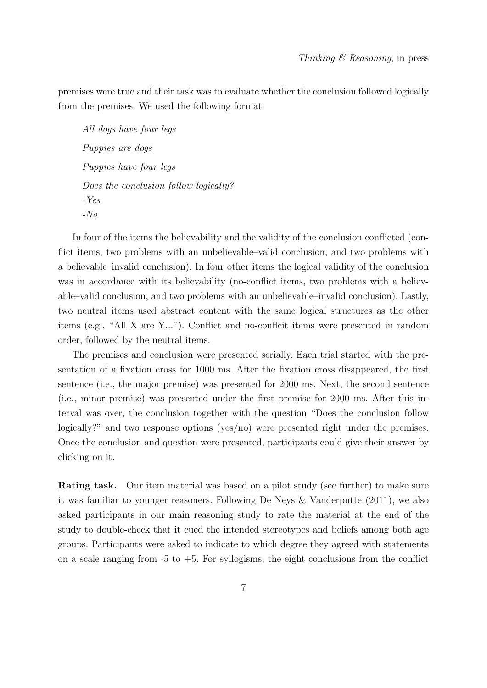premises were true and their task was to evaluate whether the conclusion followed logically from the premises. We used the following format:

All dogs have four legs Puppies are dogs Puppies have four legs Does the conclusion follow logically? -Yes -No

In four of the items the believability and the validity of the conclusion conflicted (conflict items, two problems with an unbelievable–valid conclusion, and two problems with a believable–invalid conclusion). In four other items the logical validity of the conclusion was in accordance with its believability (no-conflict items, two problems with a believable–valid conclusion, and two problems with an unbelievable–invalid conclusion). Lastly, two neutral items used abstract content with the same logical structures as the other items (e.g., "All X are Y..."). Conflict and no-conflcit items were presented in random order, followed by the neutral items.

The premises and conclusion were presented serially. Each trial started with the presentation of a fixation cross for 1000 ms. After the fixation cross disappeared, the first sentence (i.e., the major premise) was presented for 2000 ms. Next, the second sentence (i.e., minor premise) was presented under the first premise for 2000 ms. After this interval was over, the conclusion together with the question "Does the conclusion follow logically?" and two response options (yes/no) were presented right under the premises. Once the conclusion and question were presented, participants could give their answer by clicking on it.

Rating task. Our item material was based on a pilot study (see further) to make sure it was familiar to younger reasoners. Following De Neys & Vanderputte (2011), we also asked participants in our main reasoning study to rate the material at the end of the study to double-check that it cued the intended stereotypes and beliefs among both age groups. Participants were asked to indicate to which degree they agreed with statements on a scale ranging from  $-5$  to  $+5$ . For syllogisms, the eight conclusions from the conflict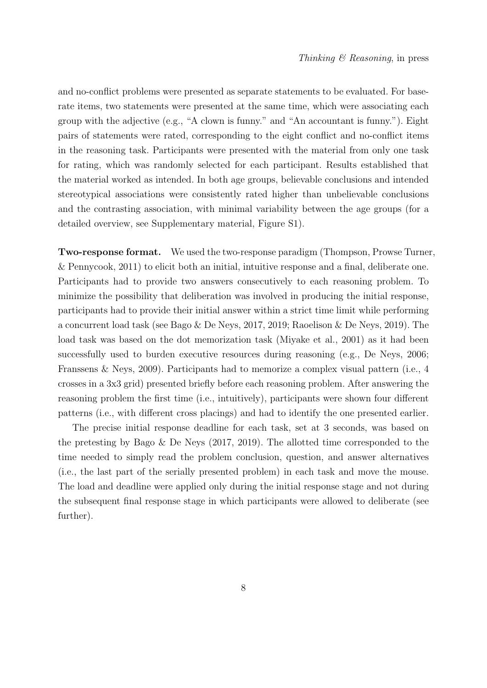and no-conflict problems were presented as separate statements to be evaluated. For baserate items, two statements were presented at the same time, which were associating each group with the adjective (e.g., "A clown is funny." and "An accountant is funny."). Eight pairs of statements were rated, corresponding to the eight conflict and no-conflict items in the reasoning task. Participants were presented with the material from only one task for rating, which was randomly selected for each participant. Results established that the material worked as intended. In both age groups, believable conclusions and intended stereotypical associations were consistently rated higher than unbelievable conclusions and the contrasting association, with minimal variability between the age groups (for a detailed overview, see Supplementary material, Figure S1).

Two-response format. We used the two-response paradigm (Thompson, Prowse Turner, & Pennycook, 2011) to elicit both an initial, intuitive response and a final, deliberate one. Participants had to provide two answers consecutively to each reasoning problem. To minimize the possibility that deliberation was involved in producing the initial response, participants had to provide their initial answer within a strict time limit while performing a concurrent load task (see Bago & De Neys, 2017, 2019; Raoelison & De Neys, 2019). The load task was based on the dot memorization task (Miyake et al., 2001) as it had been successfully used to burden executive resources during reasoning (e.g., De Neys, 2006; Franssens & Neys, 2009). Participants had to memorize a complex visual pattern (i.e., 4 crosses in a 3x3 grid) presented briefly before each reasoning problem. After answering the reasoning problem the first time (i.e., intuitively), participants were shown four different patterns (i.e., with different cross placings) and had to identify the one presented earlier.

The precise initial response deadline for each task, set at 3 seconds, was based on the pretesting by Bago & De Neys (2017, 2019). The allotted time corresponded to the time needed to simply read the problem conclusion, question, and answer alternatives (i.e., the last part of the serially presented problem) in each task and move the mouse. The load and deadline were applied only during the initial response stage and not during the subsequent final response stage in which participants were allowed to deliberate (see further).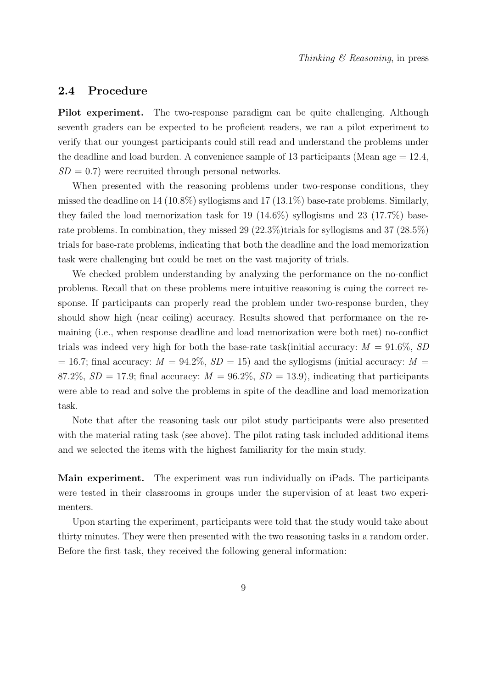### 2.4 Procedure

Pilot experiment. The two-response paradigm can be quite challenging. Although seventh graders can be expected to be proficient readers, we ran a pilot experiment to verify that our youngest participants could still read and understand the problems under the deadline and load burden. A convenience sample of 13 participants (Mean age  $= 12.4$ ,  $SD = 0.7$ ) were recruited through personal networks.

When presented with the reasoning problems under two-response conditions, they missed the deadline on 14 (10.8%) syllogisms and 17 (13.1%) base-rate problems. Similarly, they failed the load memorization task for 19 (14.6%) syllogisms and 23 (17.7%) baserate problems. In combination, they missed 29 (22.3%)trials for syllogisms and 37 (28.5%) trials for base-rate problems, indicating that both the deadline and the load memorization task were challenging but could be met on the vast majority of trials.

We checked problem understanding by analyzing the performance on the no-conflict problems. Recall that on these problems mere intuitive reasoning is cuing the correct response. If participants can properly read the problem under two-response burden, they should show high (near ceiling) accuracy. Results showed that performance on the remaining (i.e., when response deadline and load memorization were both met) no-conflict trials was indeed very high for both the base-rate task(initial accuracy:  $M = 91.6\%, SD$  $= 16.7$ ; final accuracy:  $M = 94.2\%$ ,  $SD = 15$ ) and the syllogisms (initial accuracy:  $M =$ 87.2%,  $SD = 17.9$ ; final accuracy:  $M = 96.2\%$ ,  $SD = 13.9$ ), indicating that participants were able to read and solve the problems in spite of the deadline and load memorization task.

Note that after the reasoning task our pilot study participants were also presented with the material rating task (see above). The pilot rating task included additional items and we selected the items with the highest familiarity for the main study.

Main experiment. The experiment was run individually on iPads. The participants were tested in their classrooms in groups under the supervision of at least two experimenters.

Upon starting the experiment, participants were told that the study would take about thirty minutes. They were then presented with the two reasoning tasks in a random order. Before the first task, they received the following general information: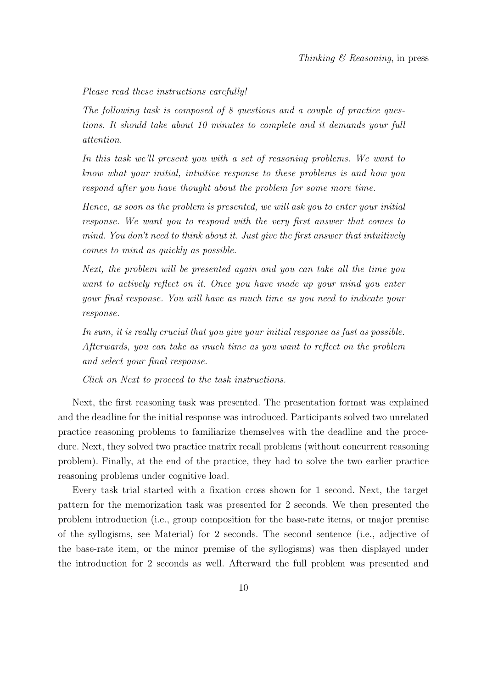#### Please read these instructions carefully!

The following task is composed of 8 questions and a couple of practice questions. It should take about 10 minutes to complete and it demands your full attention.

In this task we'll present you with a set of reasoning problems. We want to know what your initial, intuitive response to these problems is and how you respond after you have thought about the problem for some more time.

Hence, as soon as the problem is presented, we will ask you to enter your initial response. We want you to respond with the very first answer that comes to mind. You don't need to think about it. Just give the first answer that intuitively comes to mind as quickly as possible.

Next, the problem will be presented again and you can take all the time you want to actively reflect on it. Once you have made up your mind you enter your final response. You will have as much time as you need to indicate your response.

In sum, it is really crucial that you give your initial response as fast as possible. Afterwards, you can take as much time as you want to reflect on the problem and select your final response.

Click on Next to proceed to the task instructions.

Next, the first reasoning task was presented. The presentation format was explained and the deadline for the initial response was introduced. Participants solved two unrelated practice reasoning problems to familiarize themselves with the deadline and the procedure. Next, they solved two practice matrix recall problems (without concurrent reasoning problem). Finally, at the end of the practice, they had to solve the two earlier practice reasoning problems under cognitive load.

Every task trial started with a fixation cross shown for 1 second. Next, the target pattern for the memorization task was presented for 2 seconds. We then presented the problem introduction (i.e., group composition for the base-rate items, or major premise of the syllogisms, see Material) for 2 seconds. The second sentence (i.e., adjective of the base-rate item, or the minor premise of the syllogisms) was then displayed under the introduction for 2 seconds as well. Afterward the full problem was presented and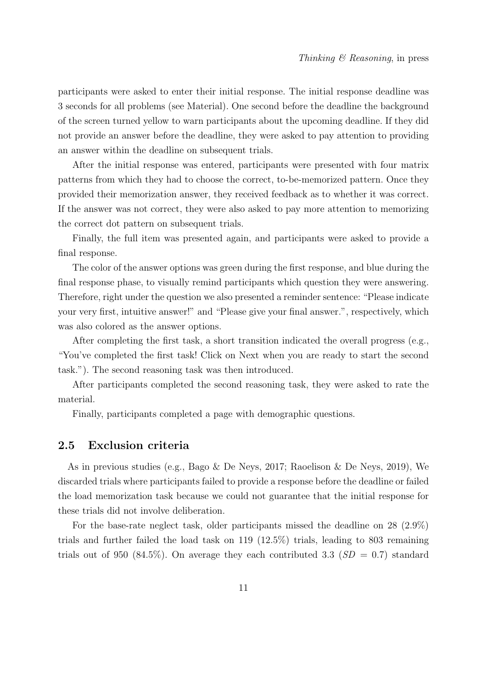participants were asked to enter their initial response. The initial response deadline was 3 seconds for all problems (see Material). One second before the deadline the background of the screen turned yellow to warn participants about the upcoming deadline. If they did not provide an answer before the deadline, they were asked to pay attention to providing an answer within the deadline on subsequent trials.

After the initial response was entered, participants were presented with four matrix patterns from which they had to choose the correct, to-be-memorized pattern. Once they provided their memorization answer, they received feedback as to whether it was correct. If the answer was not correct, they were also asked to pay more attention to memorizing the correct dot pattern on subsequent trials.

Finally, the full item was presented again, and participants were asked to provide a final response.

The color of the answer options was green during the first response, and blue during the final response phase, to visually remind participants which question they were answering. Therefore, right under the question we also presented a reminder sentence: "Please indicate your very first, intuitive answer!" and "Please give your final answer.", respectively, which was also colored as the answer options.

After completing the first task, a short transition indicated the overall progress (e.g., "You've completed the first task! Click on Next when you are ready to start the second task."). The second reasoning task was then introduced.

After participants completed the second reasoning task, they were asked to rate the material.

Finally, participants completed a page with demographic questions.

#### 2.5 Exclusion criteria

As in previous studies (e.g., Bago & De Neys, 2017; Raoelison & De Neys, 2019), We discarded trials where participants failed to provide a response before the deadline or failed the load memorization task because we could not guarantee that the initial response for these trials did not involve deliberation.

For the base-rate neglect task, older participants missed the deadline on 28 (2.9%) trials and further failed the load task on 119 (12.5%) trials, leading to 803 remaining trials out of 950 (84.5%). On average they each contributed 3.3 ( $SD = 0.7$ ) standard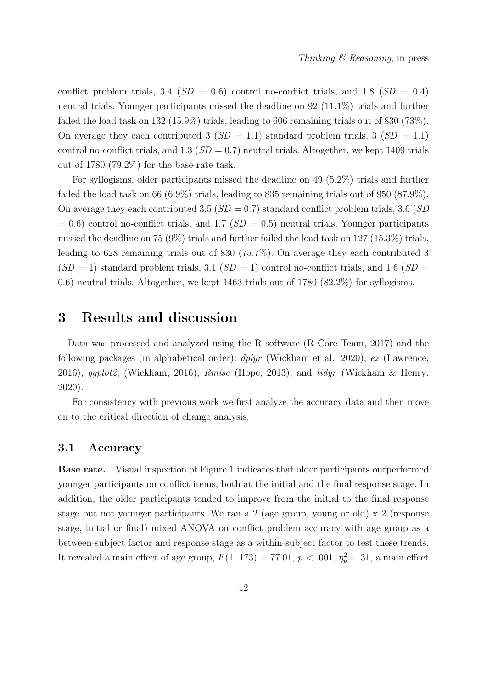conflict problem trials, 3.4 ( $SD = 0.6$ ) control no-conflict trials, and 1.8 ( $SD = 0.4$ ) neutral trials. Younger participants missed the deadline on 92 (11.1%) trials and further failed the load task on 132 (15.9%) trials, leading to 606 remaining trials out of 830 (73%). On average they each contributed 3 ( $SD = 1.1$ ) standard problem trials, 3 ( $SD = 1.1$ ) control no-conflict trials, and 1.3 ( $SD = 0.7$ ) neutral trials. Altogether, we kept 1409 trials out of 1780 (79.2%) for the base-rate task.

For syllogisms, older participants missed the deadline on 49 (5.2%) trials and further failed the load task on 66 (6.9%) trials, leading to 835 remaining trials out of 950 (87.9%). On average they each contributed 3.5 ( $SD = 0.7$ ) standard conflict problem trials, 3.6 ( $SD$ )  $= 0.6$ ) control no-conflict trials, and 1.7 ( $SD = 0.5$ ) neutral trials. Younger participants missed the deadline on 75 (9%) trials and further failed the load task on 127 (15.3%) trials, leading to 628 remaining trials out of 830 (75.7%). On average they each contributed 3  $(SD = 1)$  standard problem trials, 3.1  $(SD = 1)$  control no-conflict trials, and 1.6  $(SD = 1)$ 0.6) neutral trials. Altogether, we kept 1463 trials out of 1780 (82.2%) for syllogisms.

# 3 Results and discussion

Data was processed and analyzed using the R software (R Core Team, 2017) and the following packages (in alphabetical order):  $dplyr$  (Wickham et al., 2020), ez (Lawrence, 2016), ggplot2, (Wickham, 2016),  $Rmisc$  (Hope, 2013), and tidyr (Wickham & Henry, 2020).

For consistency with previous work we first analyze the accuracy data and then move on to the critical direction of change analysis.

#### 3.1 Accuracy

Base rate. Visual inspection of Figure 1 indicates that older participants outperformed younger participants on conflict items, both at the initial and the final response stage. In addition, the older participants tended to improve from the initial to the final response stage but not younger participants. We ran a 2 (age group, young or old)  $x$  2 (response stage, initial or final) mixed ANOVA on conflict problem accuracy with age group as a between-subject factor and response stage as a within-subject factor to test these trends. It revealed a main effect of age group,  $F(1, 173) = 77.01$ ,  $p < .001$ ,  $\eta_p^2 = .31$ , a main effect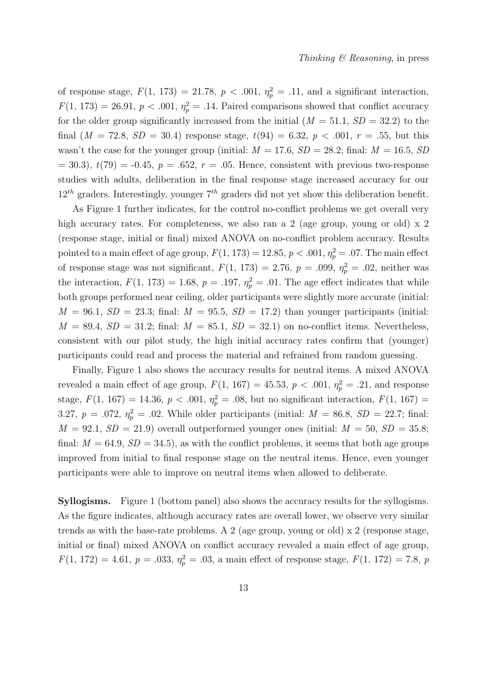of response stage,  $F(1, 173) = 21.78$ ,  $p < .001$ ,  $\eta_p^2 = .11$ , and a significant interaction,  $F(1, 173) = 26.91, p < .001, \eta_p^2 = .14$ . Paired comparisons showed that conflict accuracy for the older group significantly increased from the initial  $(M = 51.1, SD = 32.2)$  to the final  $(M = 72.8, SD = 30.4)$  response stage,  $t(94) = 6.32, p < .001, r = .55$ , but this wasn't the case for the younger group (initial:  $M = 17.6$ ,  $SD = 28.2$ ; final:  $M = 16.5$ ,  $SD$  $= 30.3$ ,  $t(79) = -0.45$ ,  $p = .652$ ,  $r = .05$ . Hence, consistent with previous two-response studies with adults, deliberation in the final response stage increased accuracy for our  $12^{th}$  graders. Interestingly, younger  $7^{th}$  graders did not yet show this deliberation benefit.

As Figure 1 further indicates, for the control no-conflict problems we get overall very high accuracy rates. For completeness, we also ran a 2 (age group, young or old) x 2 (response stage, initial or final) mixed ANOVA on no-conflict problem accuracy. Results pointed to a main effect of age group,  $F(1, 173) = 12.85$ ,  $p < .001$ ,  $\eta_p^2 = .07$ . The main effect of response stage was not significant,  $F(1, 173) = 2.76$ ,  $p = .099$ ,  $\eta_p^2 = .02$ , neither was the interaction,  $F(1, 173) = 1.68$ ,  $p = .197$ ,  $\eta_p^2 = .01$ . The age effect indicates that while both groups performed near ceiling, older participants were slightly more accurate (initial:  $M = 96.1, SD = 23.3$ ; final:  $M = 95.5, SD = 17.2$ ) than younger participants (initial:  $M = 89.4$ ,  $SD = 31.2$ ; final:  $M = 85.1$ ,  $SD = 32.1$ ) on no-conflict items. Nevertheless, consistent with our pilot study, the high initial accuracy rates confirm that (younger) participants could read and process the material and refrained from random guessing.

Finally, Figure 1 also shows the accuracy results for neutral items. A mixed ANOVA revealed a main effect of age group,  $F(1, 167) = 45.53$ ,  $p < .001$ ,  $\eta_p^2 = .21$ , and response stage,  $F(1, 167) = 14.36, p < .001, \eta_p^2 = .08$ , but no significant interaction,  $F(1, 167) =$ 3.27,  $p = .072$ ,  $\eta_p^2 = .02$ . While older participants (initial:  $M = 86.8$ ,  $SD = 22.7$ ; final:  $M = 92.1, SD = 21.9$ ) overall outperformed younger ones (initial:  $M = 50, SD = 35.8;$ final:  $M = 64.9$ ,  $SD = 34.5$ , as with the conflict problems, it seems that both age groups improved from initial to final response stage on the neutral items. Hence, even younger participants were able to improve on neutral items when allowed to deliberate.

Syllogisms. Figure 1 (bottom panel) also shows the accuracy results for the syllogisms. As the figure indicates, although accuracy rates are overall lower, we observe very similar trends as with the base-rate problems. A 2 (age group, young or old) x 2 (response stage, initial or final) mixed ANOVA on conflict accuracy revealed a main effect of age group,  $F(1, 172) = 4.61, p = .033, \eta_p^2 = .03$ , a main effect of response stage,  $F(1, 172) = 7.8, p$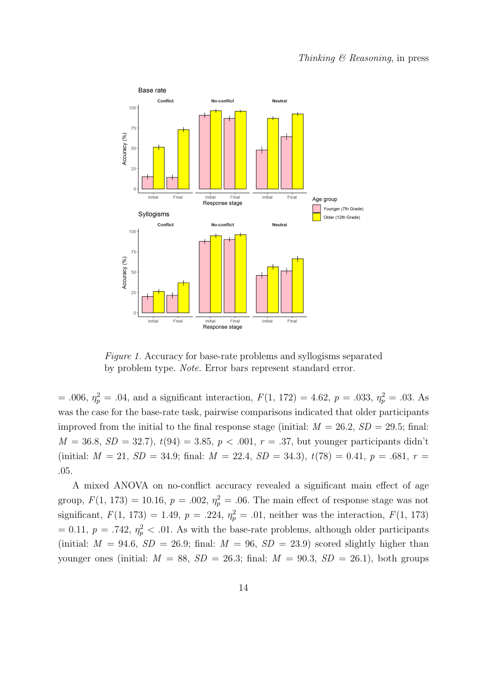

Figure 1. Accuracy for base-rate problems and syllogisms separated by problem type. Note. Error bars represent standard error.

= .006,  $\eta_p^2 = .04$ , and a significant interaction,  $F(1, 172) = 4.62$ ,  $p = .033$ ,  $\eta_p^2 = .03$ . As was the case for the base-rate task, pairwise comparisons indicated that older participants improved from the initial to the final response stage (initial:  $M = 26.2$ ,  $SD = 29.5$ ; final:  $M = 36.8, SD = 32.7$ ,  $t(94) = 3.85, p < .001, r = .37$ , but younger participants didn't (initial:  $M = 21$ ,  $SD = 34.9$ ; final:  $M = 22.4$ ,  $SD = 34.3$ ),  $t(78) = 0.41$ ,  $p = .681$ ,  $r =$ .05.

A mixed ANOVA on no-conflict accuracy revealed a significant main effect of age group,  $F(1, 173) = 10.16$ ,  $p = .002$ ,  $\eta_p^2 = .06$ . The main effect of response stage was not significant,  $F(1, 173) = 1.49$ ,  $p = .224$ ,  $\eta_p^2 = .01$ , neither was the interaction,  $F(1, 173)$  $= 0.11, p = .742, \eta_p^2 < .01$ . As with the base-rate problems, although older participants (initial:  $M = 94.6$ ,  $SD = 26.9$ ; final:  $M = 96$ ,  $SD = 23.9$ ) scored slightly higher than younger ones (initial:  $M = 88$ ,  $SD = 26.3$ ; final:  $M = 90.3$ ,  $SD = 26.1$ ), both groups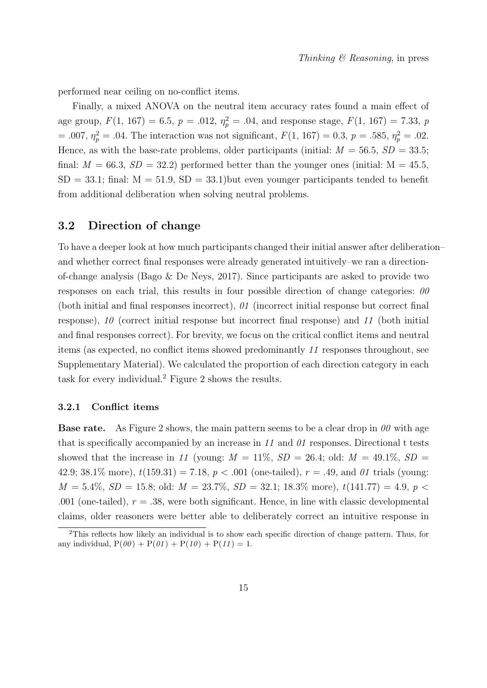performed near ceiling on no-conflict items.

Finally, a mixed ANOVA on the neutral item accuracy rates found a main effect of age group,  $F(1, 167) = 6.5$ ,  $p = .012$ ,  $\eta_p^2 = .04$ , and response stage,  $F(1, 167) = 7.33$ ,  $p$ = .007,  $\eta_p^2$  = .04. The interaction was not significant,  $F(1, 167) = 0.3$ ,  $p = .585$ ,  $\eta_p^2 = .02$ . Hence, as with the base-rate problems, older participants (initial:  $M = 56.5$ ,  $SD = 33.5$ ; final:  $M = 66.3$ ,  $SD = 32.2$ ) performed better than the younger ones (initial:  $M = 45.5$ ,  $SD = 33.1$ ; final:  $M = 51.9$ ,  $SD = 33.1$ ) but even younger participants tended to benefit from additional deliberation when solving neutral problems.

### 3.2 Direction of change

To have a deeper look at how much participants changed their initial answer after deliberation– and whether correct final responses were already generated intuitively–we ran a directionof-change analysis (Bago & De Neys, 2017). Since participants are asked to provide two responses on each trial, this results in four possible direction of change categories:  $\theta\theta$ (both initial and final responses incorrect), 01 (incorrect initial response but correct final response), 10 (correct initial response but incorrect final response) and 11 (both initial and final responses correct). For brevity, we focus on the critical conflict items and neutral items (as expected, no conflict items showed predominantly 11 responses throughout, see Supplementary Material). We calculated the proportion of each direction category in each task for every individual.<sup>2</sup> Figure 2 shows the results.

#### 3.2.1 Conflict items

**Base rate.** As Figure 2 shows, the main pattern seems to be a clear drop in  $\theta\theta$  with age that is specifically accompanied by an increase in  $11$  and  $01$  responses. Directional t tests showed that the increase in 11 (young:  $M = 11\%$ ,  $SD = 26.4$ ; old:  $M = 49.1\%$ ,  $SD =$ 42.9; 38.1\% more),  $t(159.31) = 7.18$ ,  $p < .001$  (one-tailed),  $r = .49$ , and 01 trials (young:  $M = 5.4\%, SD = 15.8$ ; old:  $M = 23.7\%, SD = 32.1$ ; 18.3\% more),  $t(141.77) = 4.9$ ,  $p <$ .001 (one-tailed),  $r = .38$ , were both significant. Hence, in line with classic developmental claims, older reasoners were better able to deliberately correct an intuitive response in

<sup>2</sup>This reflects how likely an individual is to show each specific direction of change pattern. Thus, for any individual,  $P(\theta \theta) + P(\theta \theta) + P(\theta \theta) + P(\theta \theta) = 1$ .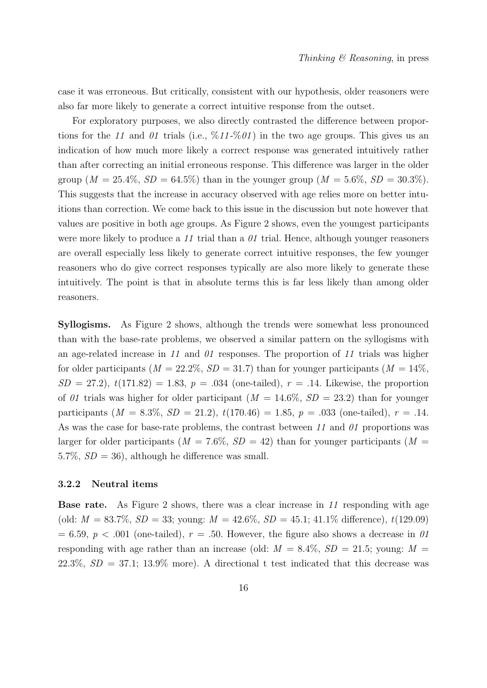case it was erroneous. But critically, consistent with our hypothesis, older reasoners were also far more likely to generate a correct intuitive response from the outset.

For exploratory purposes, we also directly contrasted the difference between proportions for the 11 and 01 trials (i.e.,  $\frac{6}{11} \frac{601}{100}$  in the two age groups. This gives us an indication of how much more likely a correct response was generated intuitively rather than after correcting an initial erroneous response. This difference was larger in the older group  $(M = 25.4\%, SD = 64.5\%)$  than in the younger group  $(M = 5.6\%, SD = 30.3\%)$ . This suggests that the increase in accuracy observed with age relies more on better intuitions than correction. We come back to this issue in the discussion but note however that values are positive in both age groups. As Figure 2 shows, even the youngest participants were more likely to produce a 11 trial than a  $\theta$ 1 trial. Hence, although younger reasoners are overall especially less likely to generate correct intuitive responses, the few younger reasoners who do give correct responses typically are also more likely to generate these intuitively. The point is that in absolute terms this is far less likely than among older reasoners.

Syllogisms. As Figure 2 shows, although the trends were somewhat less pronounced than with the base-rate problems, we observed a similar pattern on the syllogisms with an age-related increase in 11 and 01 responses. The proportion of 11 trials was higher for older participants ( $M = 22.2\%$ ,  $SD = 31.7$ ) than for younger participants ( $M = 14\%$ ,  $SD = 27.2$ ,  $t(171.82) = 1.83$ ,  $p = .034$  (one-tailed),  $r = .14$ . Likewise, the proportion of 01 trials was higher for older participant  $(M = 14.6\%, SD = 23.2)$  than for younger participants  $(M = 8.3\%, SD = 21.2), t(170.46) = 1.85, p = .033$  (one-tailed),  $r = .14$ . As was the case for base-rate problems, the contrast between 11 and 01 proportions was larger for older participants ( $M = 7.6\%$ ,  $SD = 42$ ) than for younger participants ( $M =$ 5.7%,  $SD = 36$ , although he difference was small.

#### 3.2.2 Neutral items

Base rate. As Figure 2 shows, there was a clear increase in 11 responding with age (old:  $M = 83.7\%$ ,  $SD = 33$ ; young:  $M = 42.6\%$ ,  $SD = 45.1$ ; 41.1\% difference), t(129.09)  $= 6.59, p < .001$  (one-tailed),  $r = .50$ . However, the figure also shows a decrease in 01 responding with age rather than an increase (old:  $M = 8.4\%, SD = 21.5$ ; young:  $M =$ 22.3%,  $SD = 37.1$ ; 13.9% more). A directional t test indicated that this decrease was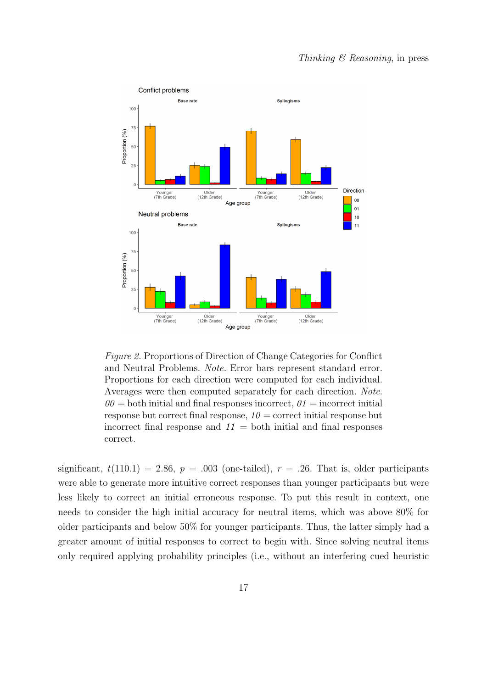

Figure 2. Proportions of Direction of Change Categories for Conflict and Neutral Problems. Note. Error bars represent standard error. Proportions for each direction were computed for each individual. Averages were then computed separately for each direction. Note.  $00 =$  both initial and final responses incorrect,  $01 =$  incorrect initial response but correct final response,  $10 =$  correct initial response but incorrect final response and  $11 =$  both initial and final responses correct.

significant,  $t(110.1) = 2.86$ ,  $p = .003$  (one-tailed),  $r = .26$ . That is, older participants were able to generate more intuitive correct responses than younger participants but were less likely to correct an initial erroneous response. To put this result in context, one needs to consider the high initial accuracy for neutral items, which was above 80% for older participants and below 50% for younger participants. Thus, the latter simply had a greater amount of initial responses to correct to begin with. Since solving neutral items only required applying probability principles (i.e., without an interfering cued heuristic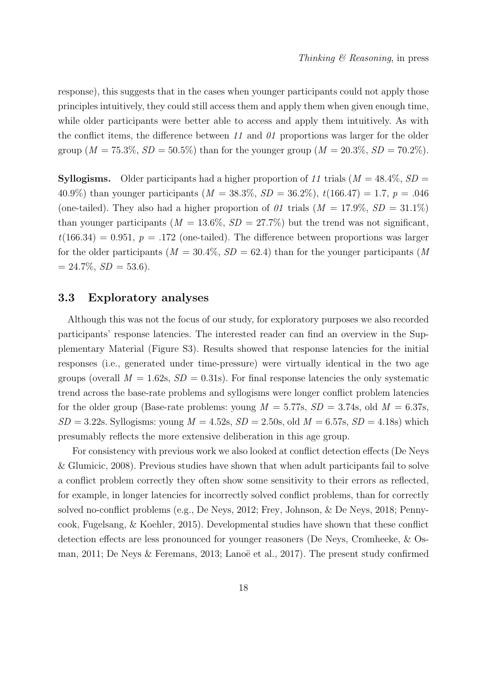response), this suggests that in the cases when younger participants could not apply those principles intuitively, they could still access them and apply them when given enough time, while older participants were better able to access and apply them intuitively. As with the conflict items, the difference between 11 and  $\theta$ 1 proportions was larger for the older group ( $M = 75.3\%, SD = 50.5\%$ ) than for the younger group ( $M = 20.3\%, SD = 70.2\%$ ).

**Syllogisms.** Older participants had a higher proportion of 11 trials  $(M = 48.4\%, SD =$ 40.9%) than younger participants ( $M = 38.3\%$ ,  $SD = 36.2\%$ ),  $t(166.47) = 1.7$ ,  $p = .046$ (one-tailed). They also had a higher proportion of 01 trials  $(M = 17.9\%, SD = 31.1\%)$ than younger participants ( $M = 13.6\%, SD = 27.7\%$ ) but the trend was not significant,  $t(166.34) = 0.951$ ,  $p = .172$  (one-tailed). The difference between proportions was larger for the older participants ( $M = 30.4\%$ ,  $SD = 62.4$ ) than for the younger participants (M)  $= 24.7\%, SD = 53.6$ .

### 3.3 Exploratory analyses

Although this was not the focus of our study, for exploratory purposes we also recorded participants' response latencies. The interested reader can find an overview in the Supplementary Material (Figure S3). Results showed that response latencies for the initial responses (i.e., generated under time-pressure) were virtually identical in the two age groups (overall  $M = 1.62$ s,  $SD = 0.31$ s). For final response latencies the only systematic trend across the base-rate problems and syllogisms were longer conflict problem latencies for the older group (Base-rate problems: young  $M = 5.77$ s,  $SD = 3.74$ s, old  $M = 6.37$ s,  $SD = 3.22$ s. Syllogisms: young  $M = 4.52$ s,  $SD = 2.50$ s, old  $M = 6.57$ s,  $SD = 4.18$ s) which presumably reflects the more extensive deliberation in this age group.

For consistency with previous work we also looked at conflict detection effects (De Neys & Glumicic, 2008). Previous studies have shown that when adult participants fail to solve a conflict problem correctly they often show some sensitivity to their errors as reflected, for example, in longer latencies for incorrectly solved conflict problems, than for correctly solved no-conflict problems (e.g., De Neys, 2012; Frey, Johnson, & De Neys, 2018; Pennycook, Fugelsang, & Koehler, 2015). Developmental studies have shown that these conflict detection effects are less pronounced for younger reasoners (De Neys, Cromheeke, & Osman, 2011; De Neys & Feremans, 2013; Lanoë et al., 2017). The present study confirmed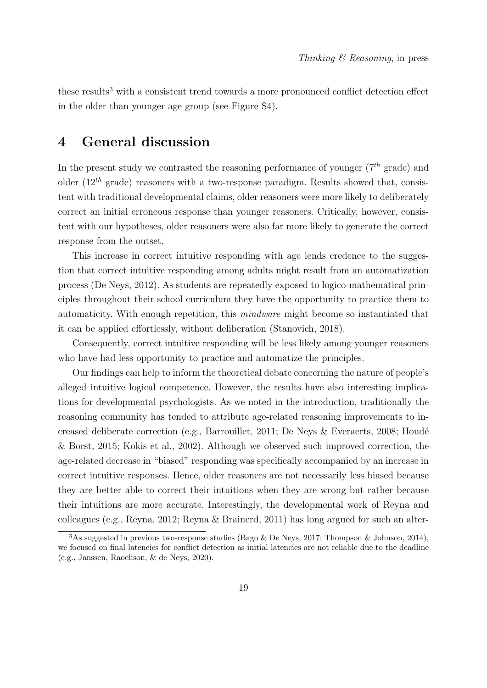these results<sup>3</sup> with a consistent trend towards a more pronounced conflict detection effect in the older than younger age group (see Figure S4).

# 4 General discussion

In the present study we contrasted the reasoning performance of younger  $(7<sup>th</sup>$  grade) and older  $(12^{th}$  grade) reasoners with a two-response paradigm. Results showed that, consistent with traditional developmental claims, older reasoners were more likely to deliberately correct an initial erroneous response than younger reasoners. Critically, however, consistent with our hypotheses, older reasoners were also far more likely to generate the correct response from the outset.

This increase in correct intuitive responding with age lends credence to the suggestion that correct intuitive responding among adults might result from an automatization process (De Neys, 2012). As students are repeatedly exposed to logico-mathematical principles throughout their school curriculum they have the opportunity to practice them to automaticity. With enough repetition, this mindware might become so instantiated that it can be applied effortlessly, without deliberation (Stanovich, 2018).

Consequently, correct intuitive responding will be less likely among younger reasoners who have had less opportunity to practice and automatize the principles.

Our findings can help to inform the theoretical debate concerning the nature of people's alleged intuitive logical competence. However, the results have also interesting implications for developmental psychologists. As we noted in the introduction, traditionally the reasoning community has tended to attribute age-related reasoning improvements to increased deliberate correction (e.g., Barrouillet, 2011; De Neys & Everaerts, 2008; Houdé & Borst, 2015; Kokis et al., 2002). Although we observed such improved correction, the age-related decrease in "biased" responding was specifically accompanied by an increase in correct intuitive responses. Hence, older reasoners are not necessarily less biased because they are better able to correct their intuitions when they are wrong but rather because their intuitions are more accurate. Interestingly, the developmental work of Reyna and colleagues (e.g., Reyna, 2012; Reyna & Brainerd, 2011) has long argued for such an alter-

<sup>&</sup>lt;sup>3</sup>As suggested in previous two-response studies (Bago & De Neys, 2017; Thompson & Johnson, 2014), we focused on final latencies for conflict detection as initial latencies are not reliable due to the deadline (e.g., Janssen, Raoelison, & de Neys, 2020).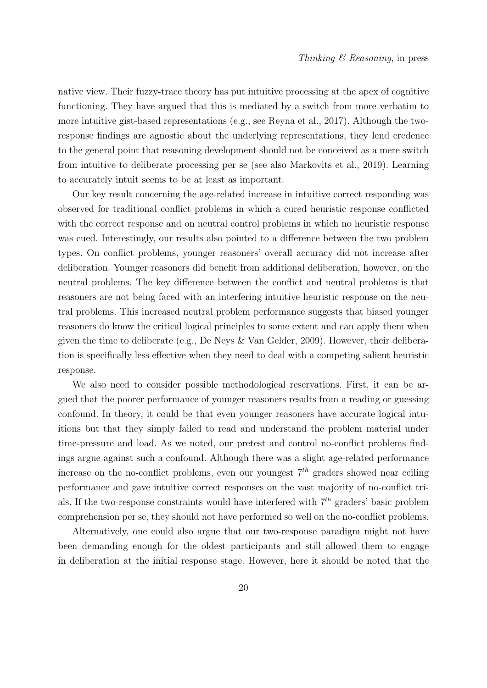native view. Their fuzzy-trace theory has put intuitive processing at the apex of cognitive functioning. They have argued that this is mediated by a switch from more verbatim to more intuitive gist-based representations (e.g., see Reyna et al., 2017). Although the tworesponse findings are agnostic about the underlying representations, they lend credence to the general point that reasoning development should not be conceived as a mere switch from intuitive to deliberate processing per se (see also Markovits et al., 2019). Learning to accurately intuit seems to be at least as important.

Our key result concerning the age-related increase in intuitive correct responding was observed for traditional conflict problems in which a cured heuristic response conflicted with the correct response and on neutral control problems in which no heuristic response was cued. Interestingly, our results also pointed to a difference between the two problem types. On conflict problems, younger reasoners' overall accuracy did not increase after deliberation. Younger reasoners did benefit from additional deliberation, however, on the neutral problems. The key difference between the conflict and neutral problems is that reasoners are not being faced with an interfering intuitive heuristic response on the neutral problems. This increased neutral problem performance suggests that biased younger reasoners do know the critical logical principles to some extent and can apply them when given the time to deliberate (e.g., De Neys & Van Gelder, 2009). However, their deliberation is specifically less effective when they need to deal with a competing salient heuristic response.

We also need to consider possible methodological reservations. First, it can be argued that the poorer performance of younger reasoners results from a reading or guessing confound. In theory, it could be that even younger reasoners have accurate logical intuitions but that they simply failed to read and understand the problem material under time-pressure and load. As we noted, our pretest and control no-conflict problems findings argue against such a confound. Although there was a slight age-related performance increase on the no-conflict problems, even our youngest  $7<sup>th</sup>$  graders showed near ceiling performance and gave intuitive correct responses on the vast majority of no-conflict trials. If the two-response constraints would have interfered with  $7<sup>th</sup>$  graders' basic problem comprehension per se, they should not have performed so well on the no-conflict problems.

Alternatively, one could also argue that our two-response paradigm might not have been demanding enough for the oldest participants and still allowed them to engage in deliberation at the initial response stage. However, here it should be noted that the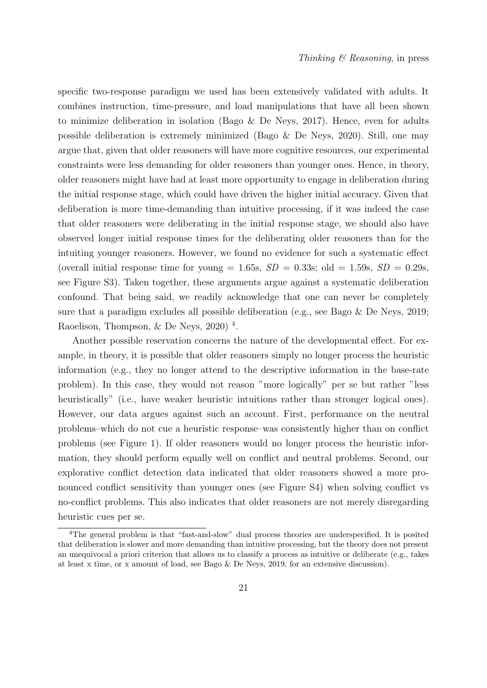specific two-response paradigm we used has been extensively validated with adults. It combines instruction, time-pressure, and load manipulations that have all been shown to minimize deliberation in isolation (Bago  $\&$  De Neys, 2017). Hence, even for adults possible deliberation is extremely minimized (Bago & De Neys, 2020). Still, one may argue that, given that older reasoners will have more cognitive resources, our experimental constraints were less demanding for older reasoners than younger ones. Hence, in theory, older reasoners might have had at least more opportunity to engage in deliberation during the initial response stage, which could have driven the higher initial accuracy. Given that deliberation is more time-demanding than intuitive processing, if it was indeed the case that older reasoners were deliberating in the initial response stage, we should also have observed longer initial response times for the deliberating older reasoners than for the intuiting younger reasoners. However, we found no evidence for such a systematic effect (overall initial response time for young = 1.65s,  $SD = 0.33$ s; old = 1.59s,  $SD = 0.29$ s, see Figure S3). Taken together, these arguments argue against a systematic deliberation confound. That being said, we readily acknowledge that one can never be completely sure that a paradigm excludes all possible deliberation (e.g., see Bago & De Neys, 2019; Raoelison, Thompson, & De Neys, 2020)<sup>4</sup>.

Another possible reservation concerns the nature of the developmental effect. For example, in theory, it is possible that older reasoners simply no longer process the heuristic information (e.g., they no longer attend to the descriptive information in the base-rate problem). In this case, they would not reason "more logically" per se but rather "less heuristically" (i.e., have weaker heuristic intuitions rather than stronger logical ones). However, our data argues against such an account. First, performance on the neutral problems–which do not cue a heuristic response–was consistently higher than on conflict problems (see Figure 1). If older reasoners would no longer process the heuristic information, they should perform equally well on conflict and neutral problems. Second, our explorative conflict detection data indicated that older reasoners showed a more pronounced conflict sensitivity than younger ones (see Figure S4) when solving conflict vs no-conflict problems. This also indicates that older reasoners are not merely disregarding heuristic cues per se.

<sup>&</sup>lt;sup>4</sup>The general problem is that "fast-and-slow" dual process theories are underspecified. It is posited that deliberation is slower and more demanding than intuitive processing, but the theory does not present an unequivocal a priori criterion that allows us to classify a process as intuitive or deliberate (e.g., takes at least x time, or x amount of load, see Bago & De Neys, 2019, for an extensive discussion).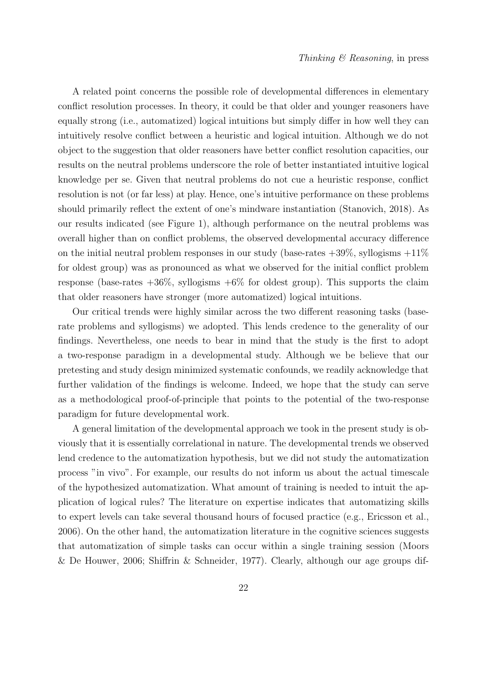A related point concerns the possible role of developmental differences in elementary conflict resolution processes. In theory, it could be that older and younger reasoners have equally strong (i.e., automatized) logical intuitions but simply differ in how well they can intuitively resolve conflict between a heuristic and logical intuition. Although we do not object to the suggestion that older reasoners have better conflict resolution capacities, our results on the neutral problems underscore the role of better instantiated intuitive logical knowledge per se. Given that neutral problems do not cue a heuristic response, conflict resolution is not (or far less) at play. Hence, one's intuitive performance on these problems should primarily reflect the extent of one's mindware instantiation (Stanovich, 2018). As our results indicated (see Figure 1), although performance on the neutral problems was overall higher than on conflict problems, the observed developmental accuracy difference on the initial neutral problem responses in our study (base-rates  $+39\%$ , syllogisms  $+11\%$ ) for oldest group) was as pronounced as what we observed for the initial conflict problem response (base-rates  $+36\%$ , syllogisms  $+6\%$  for oldest group). This supports the claim that older reasoners have stronger (more automatized) logical intuitions.

Our critical trends were highly similar across the two different reasoning tasks (baserate problems and syllogisms) we adopted. This lends credence to the generality of our findings. Nevertheless, one needs to bear in mind that the study is the first to adopt a two-response paradigm in a developmental study. Although we be believe that our pretesting and study design minimized systematic confounds, we readily acknowledge that further validation of the findings is welcome. Indeed, we hope that the study can serve as a methodological proof-of-principle that points to the potential of the two-response paradigm for future developmental work.

A general limitation of the developmental approach we took in the present study is obviously that it is essentially correlational in nature. The developmental trends we observed lend credence to the automatization hypothesis, but we did not study the automatization process "in vivo". For example, our results do not inform us about the actual timescale of the hypothesized automatization. What amount of training is needed to intuit the application of logical rules? The literature on expertise indicates that automatizing skills to expert levels can take several thousand hours of focused practice (e.g., Ericsson et al., 2006). On the other hand, the automatization literature in the cognitive sciences suggests that automatization of simple tasks can occur within a single training session (Moors & De Houwer, 2006; Shiffrin & Schneider, 1977). Clearly, although our age groups dif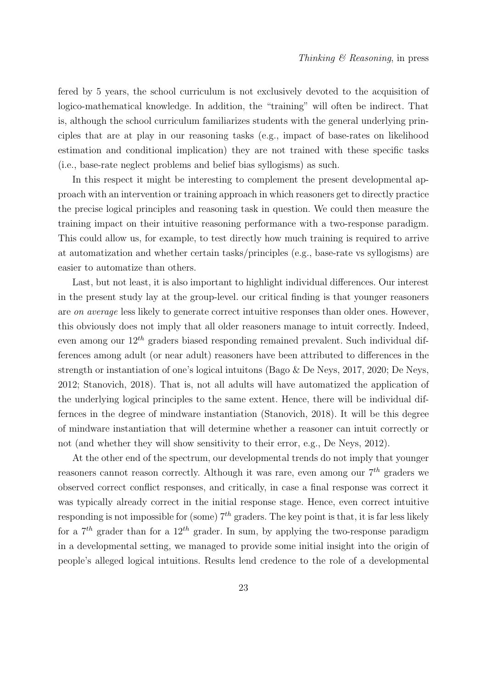fered by 5 years, the school curriculum is not exclusively devoted to the acquisition of logico-mathematical knowledge. In addition, the "training" will often be indirect. That is, although the school curriculum familiarizes students with the general underlying principles that are at play in our reasoning tasks (e.g., impact of base-rates on likelihood estimation and conditional implication) they are not trained with these specific tasks (i.e., base-rate neglect problems and belief bias syllogisms) as such.

In this respect it might be interesting to complement the present developmental approach with an intervention or training approach in which reasoners get to directly practice the precise logical principles and reasoning task in question. We could then measure the training impact on their intuitive reasoning performance with a two-response paradigm. This could allow us, for example, to test directly how much training is required to arrive at automatization and whether certain tasks/principles (e.g., base-rate vs syllogisms) are easier to automatize than others.

Last, but not least, it is also important to highlight individual differences. Our interest in the present study lay at the group-level. our critical finding is that younger reasoners are on average less likely to generate correct intuitive responses than older ones. However, this obviously does not imply that all older reasoners manage to intuit correctly. Indeed, even among our  $12^{th}$  graders biased responding remained prevalent. Such individual differences among adult (or near adult) reasoners have been attributed to differences in the strength or instantiation of one's logical intuitons (Bago & De Neys, 2017, 2020; De Neys, 2012; Stanovich, 2018). That is, not all adults will have automatized the application of the underlying logical principles to the same extent. Hence, there will be individual differnces in the degree of mindware instantiation (Stanovich, 2018). It will be this degree of mindware instantiation that will determine whether a reasoner can intuit correctly or not (and whether they will show sensitivity to their error, e.g., De Neys, 2012).

At the other end of the spectrum, our developmental trends do not imply that younger reasoners cannot reason correctly. Although it was rare, even among our  $7<sup>th</sup>$  graders we observed correct conflict responses, and critically, in case a final response was correct it was typically already correct in the initial response stage. Hence, even correct intuitive responding is not impossible for (some)  $7<sup>th</sup>$  graders. The key point is that, it is far less likely for a  $7<sup>th</sup>$  grader than for a  $12<sup>th</sup>$  grader. In sum, by applying the two-response paradigm in a developmental setting, we managed to provide some initial insight into the origin of people's alleged logical intuitions. Results lend credence to the role of a developmental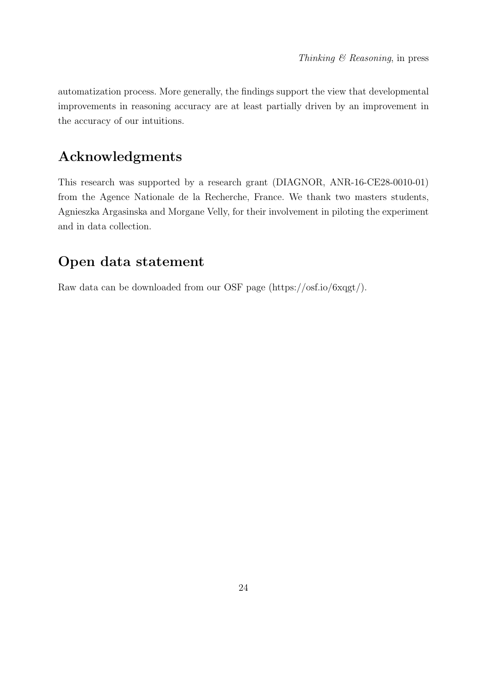automatization process. More generally, the findings support the view that developmental improvements in reasoning accuracy are at least partially driven by an improvement in the accuracy of our intuitions.

# Acknowledgments

This research was supported by a research grant (DIAGNOR, ANR-16-CE28-0010-01) from the Agence Nationale de la Recherche, France. We thank two masters students, Agnieszka Argasinska and Morgane Velly, for their involvement in piloting the experiment and in data collection.

# Open data statement

Raw data can be downloaded from our OSF page (https://osf.io/6xqgt/).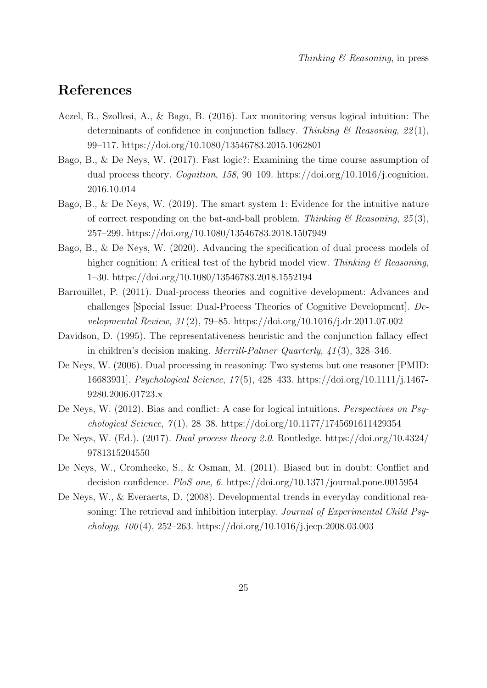# References

- Aczel, B., Szollosi, A., & Bago, B. (2016). Lax monitoring versus logical intuition: The determinants of confidence in conjunction fallacy. Thinking  $\mathcal{B}$  Reasoning, 22(1), 99–117. https://doi.org/10.1080/13546783.2015.1062801
- Bago, B., & De Neys, W. (2017). Fast logic?: Examining the time course assumption of dual process theory. Cognition, 158, 90–109. https://doi.org/10.1016/j.cognition. 2016.10.014
- Bago, B., & De Neys, W. (2019). The smart system 1: Evidence for the intuitive nature of correct responding on the bat-and-ball problem. Thinking  $\mathcal{B}$  Reasoning, 25(3), 257–299. https://doi.org/10.1080/13546783.2018.1507949
- Bago, B., & De Neys, W. (2020). Advancing the specification of dual process models of higher cognition: A critical test of the hybrid model view. Thinking  $\mathcal B$  Reasoning, 1–30. https://doi.org/10.1080/13546783.2018.1552194
- Barrouillet, P. (2011). Dual-process theories and cognitive development: Advances and challenges [Special Issue: Dual-Process Theories of Cognitive Development]. Developmental Review, 31 (2), 79–85. https://doi.org/10.1016/j.dr.2011.07.002
- Davidson, D. (1995). The representativeness heuristic and the conjunction fallacy effect in children's decision making. Merrill-Palmer Quarterly, 41 (3), 328–346.
- De Neys, W. (2006). Dual processing in reasoning: Two systems but one reasoner [PMID: 16683931]. Psychological Science, 17 (5), 428–433. https://doi.org/10.1111/j.1467- 9280.2006.01723.x
- De Neys, W. (2012). Bias and conflict: A case for logical intuitions. Perspectives on Psychological Science,  $7(1)$ , 28–38. https://doi.org/10.1177/1745691611429354
- De Neys, W. (Ed.). (2017). Dual process theory 2.0. Routledge. https://doi.org/10.4324/ 9781315204550
- De Neys, W., Cromheeke, S., & Osman, M. (2011). Biased but in doubt: Conflict and decision confidence. PloS one, 6. https://doi.org/10.1371/journal.pone.0015954
- De Neys, W., & Everaerts, D. (2008). Developmental trends in everyday conditional reasoning: The retrieval and inhibition interplay. Journal of Experimental Child Psychology,  $100(4)$ ,  $252-263$ . https://doi.org/10.1016/j.jecp.2008.03.003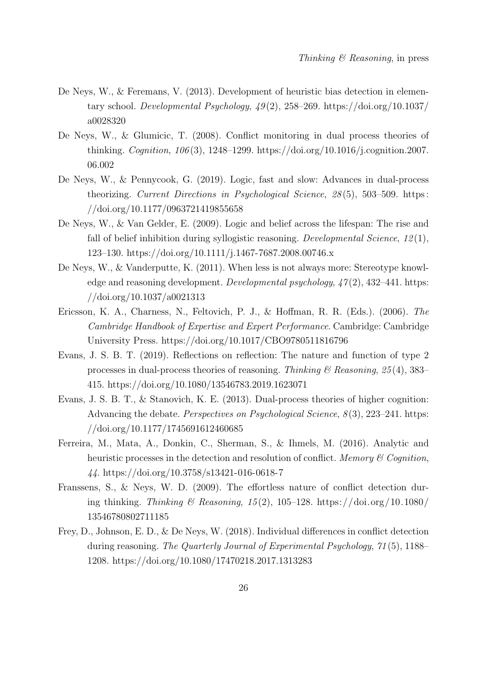- De Neys, W., & Feremans, V. (2013). Development of heuristic bias detection in elementary school. Developmental Psychology,  $49(2)$ , 258–269. https://doi.org/10.1037/ a0028320
- De Neys, W., & Glumicic, T. (2008). Conflict monitoring in dual process theories of thinking. Cognition, 106 (3), 1248–1299. https://doi.org/10.1016/j.cognition.2007. 06.002
- De Neys, W., & Pennycook, G. (2019). Logic, fast and slow: Advances in dual-process theorizing. Current Directions in Psychological Science, 28 (5), 503–509. https : //doi.org/10.1177/0963721419855658
- De Neys, W., & Van Gelder, E. (2009). Logic and belief across the lifespan: The rise and fall of belief inhibition during syllogistic reasoning. Developmental Science, 12(1), 123–130. https://doi.org/10.1111/j.1467-7687.2008.00746.x
- De Neys, W., & Vanderputte, K. (2011). When less is not always more: Stereotype knowledge and reasoning development. Developmental psychology,  $\frac{47(2)}{432-441}$ . https: //doi.org/10.1037/a0021313
- Ericsson, K. A., Charness, N., Feltovich, P. J., & Hoffman, R. R. (Eds.). (2006). The Cambridge Handbook of Expertise and Expert Performance. Cambridge: Cambridge University Press. https://doi.org/10.1017/CBO9780511816796
- Evans, J. S. B. T. (2019). Reflections on reflection: The nature and function of type 2 processes in dual-process theories of reasoning. Thinking  $\mathcal{C}$  Reasoning, 25(4), 383– 415. https://doi.org/10.1080/13546783.2019.1623071
- Evans, J. S. B. T., & Stanovich, K. E. (2013). Dual-process theories of higher cognition: Advancing the debate. *Perspectives on Psychological Science*,  $8(3)$ , 223–241. https: //doi.org/10.1177/1745691612460685
- Ferreira, M., Mata, A., Donkin, C., Sherman, S., & Ihmels, M. (2016). Analytic and heuristic processes in the detection and resolution of conflict. Memory  $\mathcal C$  Cognition, 44. https://doi.org/10.3758/s13421-016-0618-7
- Franssens, S., & Neys, W. D. (2009). The effortless nature of conflict detection during thinking. Thinking & Reasoning, 15(2), 105–128. https://doi.org/10.1080/ 13546780802711185
- Frey, D., Johnson, E. D., & De Neys, W. (2018). Individual differences in conflict detection during reasoning. The Quarterly Journal of Experimental Psychology, 71 (5), 1188– 1208. https://doi.org/10.1080/17470218.2017.1313283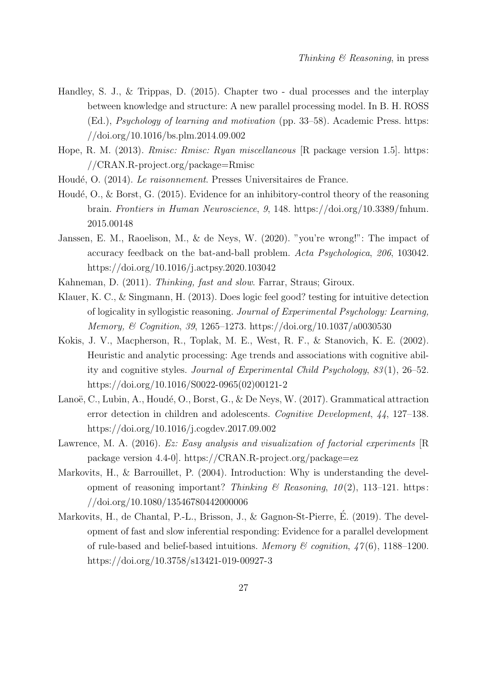- Handley, S. J., & Trippas, D. (2015). Chapter two dual processes and the interplay between knowledge and structure: A new parallel processing model. In B. H. ROSS (Ed.), Psychology of learning and motivation (pp. 33–58). Academic Press. https: //doi.org/10.1016/bs.plm.2014.09.002
- Hope, R. M. (2013). Rmisc: Rmisc: Ryan miscellaneous [R package version 1.5]. https: //CRAN.R-project.org/package=Rmisc
- Houdé, O. (2014). Le raisonnement. Presses Universitaires de France.
- Houdé, O., & Borst, G.  $(2015)$ . Evidence for an inhibitory-control theory of the reasoning brain. Frontiers in Human Neuroscience, 9, 148. https://doi.org/10.3389/fnhum. 2015.00148
- Janssen, E. M., Raoelison, M., & de Neys, W. (2020). "you're wrong!": The impact of accuracy feedback on the bat-and-ball problem. Acta Psychologica, 206, 103042. https://doi.org/10.1016/j.actpsy.2020.103042
- Kahneman, D. (2011). Thinking, fast and slow. Farrar, Straus; Giroux.
- Klauer, K. C., & Singmann, H. (2013). Does logic feel good? testing for intuitive detection of logicality in syllogistic reasoning. Journal of Experimental Psychology: Learning, Memory, & Cognition, 39, 1265–1273. https://doi.org/10.1037/a0030530
- Kokis, J. V., Macpherson, R., Toplak, M. E., West, R. F., & Stanovich, K. E. (2002). Heuristic and analytic processing: Age trends and associations with cognitive ability and cognitive styles. Journal of Experimental Child Psychology, 83 (1), 26–52. https://doi.org/10.1016/S0022-0965(02)00121-2
- Lanoë, C., Lubin, A., Houdé, O., Borst, G., & De Neys, W. (2017). Grammatical attraction error detection in children and adolescents. Cognitive Development, 44, 127–138. https://doi.org/10.1016/j.cogdev.2017.09.002
- Lawrence, M. A. (2016). Ez: Easy analysis and visualization of factorial experiments [R package version 4.4-0]. https://CRAN.R-project.org/package=ez
- Markovits, H., & Barrouillet, P. (2004). Introduction: Why is understanding the development of reasoning important? Thinking  $\mathcal B$  Reasoning, 10(2), 113–121. https: //doi.org/10.1080/13546780442000006
- Markovits, H., de Chantal, P.-L., Brisson, J., & Gagnon-St-Pierre, É. (2019). The development of fast and slow inferential responding: Evidence for a parallel development of rule-based and belief-based intuitions. Memory & cognition,  $\frac{1}{16}$ , 1188–1200. https://doi.org/10.3758/s13421-019-00927-3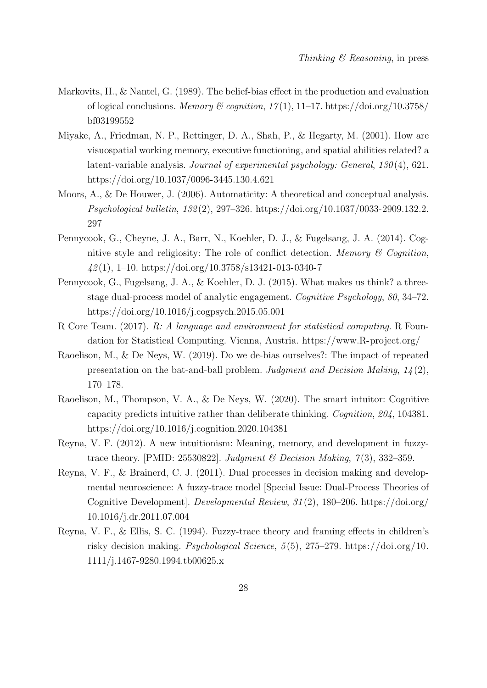- Markovits, H., & Nantel, G. (1989). The belief-bias effect in the production and evaluation of logical conclusions. Memory & cognition,  $17(1)$ ,  $11-17$ . https://doi.org/10.3758/ bf03199552
- Miyake, A., Friedman, N. P., Rettinger, D. A., Shah, P., & Hegarty, M. (2001). How are visuospatial working memory, executive functioning, and spatial abilities related? a latent-variable analysis. Journal of experimental psychology: General, 130 (4), 621. https://doi.org/10.1037/0096-3445.130.4.621
- Moors, A., & De Houwer, J. (2006). Automaticity: A theoretical and conceptual analysis. Psychological bulletin, 132 (2), 297–326. https://doi.org/10.1037/0033-2909.132.2. 297
- Pennycook, G., Cheyne, J. A., Barr, N., Koehler, D. J., & Fugelsang, J. A. (2014). Cognitive style and religiosity: The role of conflict detection. Memory  $\mathcal C$  Cognition,  $42(1)$ , 1–10. https://doi.org/10.3758/s13421-013-0340-7
- Pennycook, G., Fugelsang, J. A., & Koehler, D. J. (2015). What makes us think? a threestage dual-process model of analytic engagement. Cognitive Psychology, 80, 34–72. https://doi.org/10.1016/j.cogpsych.2015.05.001
- R Core Team. (2017). R: A language and environment for statistical computing. R Foundation for Statistical Computing. Vienna, Austria. https://www.R-project.org/
- Raoelison, M., & De Neys, W. (2019). Do we de-bias ourselves?: The impact of repeated presentation on the bat-and-ball problem. Judgment and Decision Making, 14 (2), 170–178.
- Raoelison, M., Thompson, V. A., & De Neys, W. (2020). The smart intuitor: Cognitive capacity predicts intuitive rather than deliberate thinking. Cognition, 204, 104381. https://doi.org/10.1016/j.cognition.2020.104381
- Reyna, V. F. (2012). A new intuitionism: Meaning, memory, and development in fuzzytrace theory. [PMID: 25530822]. Judgment & Decision Making,  $7(3)$ , 332-359.
- Reyna, V. F., & Brainerd, C. J. (2011). Dual processes in decision making and developmental neuroscience: A fuzzy-trace model [Special Issue: Dual-Process Theories of Cognitive Development]. Developmental Review, 31 (2), 180–206. https://doi.org/ 10.1016/j.dr.2011.07.004
- Reyna, V. F., & Ellis, S. C. (1994). Fuzzy-trace theory and framing effects in children's risky decision making. *Psychological Science*,  $5(5)$ ,  $275-279$ . https://doi.org/10. 1111/j.1467-9280.1994.tb00625.x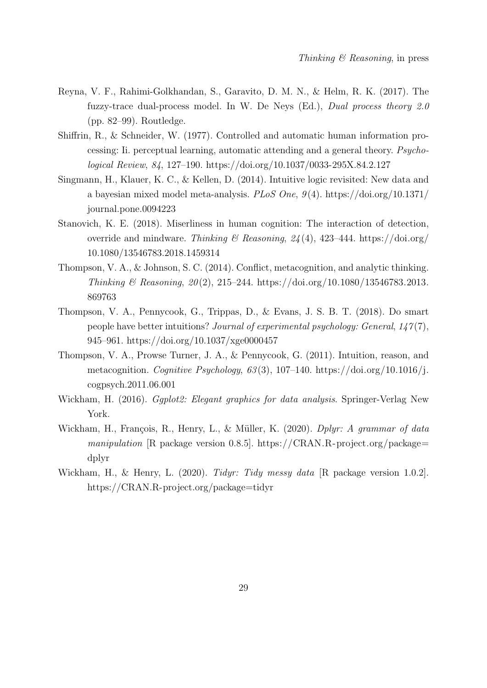- Reyna, V. F., Rahimi-Golkhandan, S., Garavito, D. M. N., & Helm, R. K. (2017). The fuzzy-trace dual-process model. In W. De Neys (Ed.), Dual process theory 2.0 (pp. 82–99). Routledge.
- Shiffrin, R., & Schneider, W. (1977). Controlled and automatic human information processing: Ii. perceptual learning, automatic attending and a general theory. Psychological Review, 84, 127–190. https://doi.org/10.1037/0033-295X.84.2.127
- Singmann, H., Klauer, K. C., & Kellen, D. (2014). Intuitive logic revisited: New data and a bayesian mixed model meta-analysis. PLoS One,  $9(4)$ . https://doi.org/10.1371/ journal.pone.0094223
- Stanovich, K. E. (2018). Miserliness in human cognition: The interaction of detection, override and mindware. Thinking & Reasoning,  $24(4)$ , 423-444. https://doi.org/ 10.1080/13546783.2018.1459314
- Thompson, V. A., & Johnson, S. C. (2014). Conflict, metacognition, and analytic thinking. Thinking & Reasoning,  $20(2)$ , 215–244. https://doi.org/10.1080/13546783.2013. 869763
- Thompson, V. A., Pennycook, G., Trippas, D., & Evans, J. S. B. T. (2018). Do smart people have better intuitions? Journal of experimental psychology: General, 147 (7), 945–961. https://doi.org/10.1037/xge0000457
- Thompson, V. A., Prowse Turner, J. A., & Pennycook, G. (2011). Intuition, reason, and metacognition. Cognitive Psychology,  $63(3)$ , 107-140. https://doi.org/10.1016/j. cogpsych.2011.06.001
- Wickham, H. (2016). *Gaplot2: Elegant graphics for data analysis*. Springer-Verlag New York.
- Wickham, H., François, R., Henry, L., & Müller, K. (2020). Dplyr: A grammar of data manipulation [R package version 0.8.5]. https://CRAN.R-project.org/package= dplyr
- Wickham, H., & Henry, L. (2020). Tidyr: Tidy messy data [R package version 1.0.2]. https://CRAN.R-project.org/package=tidyr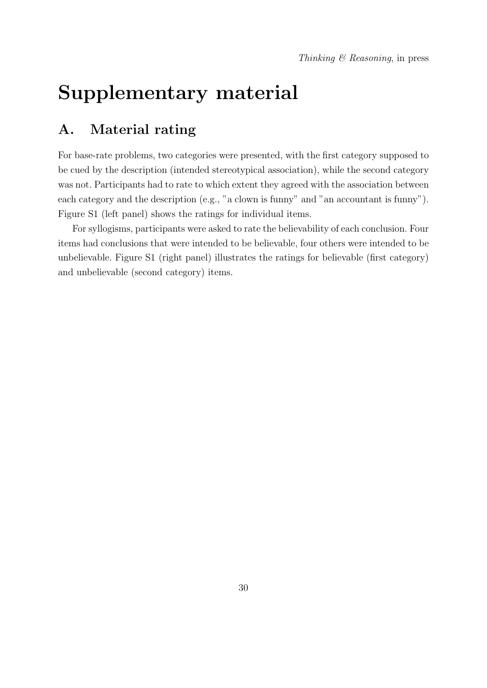# Supplementary material

# A. Material rating

For base-rate problems, two categories were presented, with the first category supposed to be cued by the description (intended stereotypical association), while the second category was not. Participants had to rate to which extent they agreed with the association between each category and the description (e.g., "a clown is funny" and "an accountant is funny"). Figure S1 (left panel) shows the ratings for individual items.

For syllogisms, participants were asked to rate the believability of each conclusion. Four items had conclusions that were intended to be believable, four others were intended to be unbelievable. Figure S1 (right panel) illustrates the ratings for believable (first category) and unbelievable (second category) items.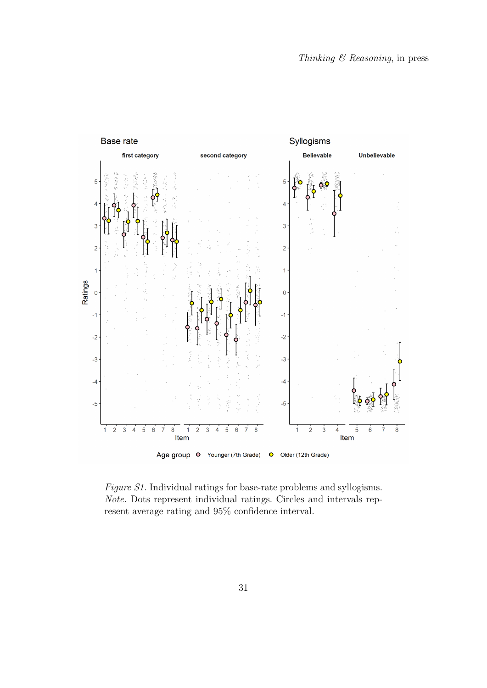

Figure S1. Individual ratings for base-rate problems and syllogisms. Note. Dots represent individual ratings. Circles and intervals represent average rating and 95% confidence interval.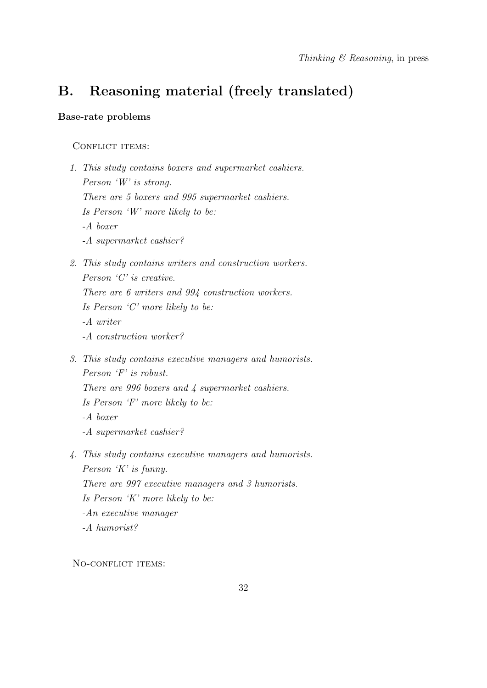# B. Reasoning material (freely translated)

#### Base-rate problems

#### CONFLICT ITEMS:

- 1. This study contains boxers and supermarket cashiers. Person 'W' is strong. There are 5 boxers and 995 supermarket cashiers. Is Person 'W' more likely to be: -A boxer -A supermarket cashier?
- 2. This study contains writers and construction workers. Person 'C' is creative. There are 6 writers and 994 construction workers. Is Person 'C' more likely to be: -A writer -A construction worker?
- 3. This study contains executive managers and humorists. Person 'F' is robust. There are 996 boxers and 4 supermarket cashiers. Is Person 'F' more likely to be: -A boxer -A supermarket cashier?
- 4. This study contains executive managers and humorists. Person 'K' is funny. There are 997 executive managers and 3 humorists. Is Person 'K' more likely to be: -An executive manager -A humorist?

NO-CONFLICT ITEMS: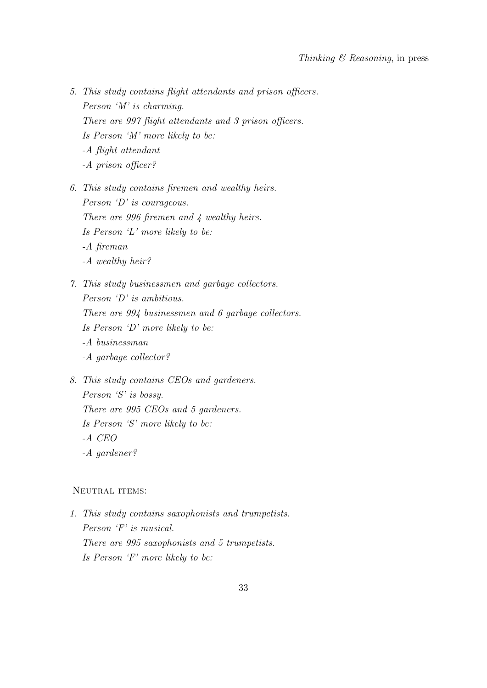- 5. This study contains flight attendants and prison officers. Person 'M' is charming. There are 997 flight attendants and 3 prison officers. Is Person 'M' more likely to be: -A flight attendant -A prison officer?
- 6. This study contains firemen and wealthy heirs. Person 'D' is courageous. There are 996 firemen and 4 wealthy heirs. Is Person 'L' more likely to be: -A fireman -A wealthy heir?
- 7. This study businessmen and garbage collectors. Person 'D' is ambitious. There are 994 businessmen and 6 garbage collectors. Is Person 'D' more likely to be: -A businessman -A garbage collector?
- 8. This study contains CEOs and gardeners. Person 'S' is bossy. There are 995 CEOs and 5 gardeners. Is Person 'S' more likely to be: -A CEO -A gardener?

#### NEUTRAL ITEMS:

1. This study contains saxophonists and trumpetists. Person 'F' is musical. There are 995 saxophonists and 5 trumpetists. Is Person 'F' more likely to be: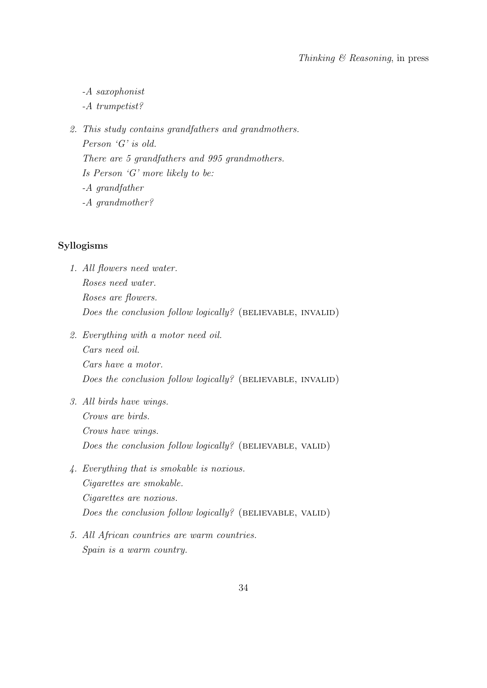-A saxophonist

-A trumpetist?

2. This study contains grandfathers and grandmothers. Person 'G' is old. There are 5 grandfathers and 995 grandmothers. Is Person 'G' more likely to be: -A grandfather -A grandmother?

### Syllogisms

- 1. All flowers need water. Roses need water. Roses are flowers. Does the conclusion follow logically? (BELIEVABLE, INVALID)
- 2. Everything with a motor need oil. Cars need oil. Cars have a motor. Does the conclusion follow logically? (BELIEVABLE, INVALID)
- 3. All birds have wings. Crows are birds. Crows have wings. Does the conclusion follow logically? (BELIEVABLE, VALID)
- 4. Everything that is smokable is noxious. Cigarettes are smokable. Cigarettes are noxious. Does the conclusion follow logically? (BELIEVABLE, VALID)
- 5. All African countries are warm countries. Spain is a warm country.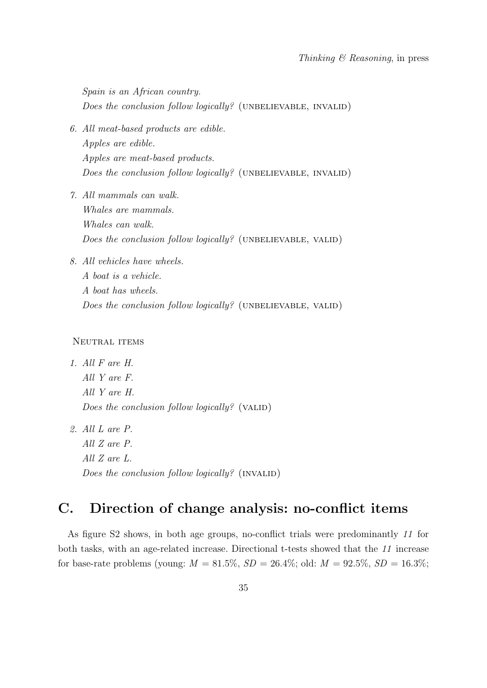Spain is an African country. Does the conclusion follow logically? (UNBELIEVABLE, INVALID)

- 6. All meat-based products are edible. Apples are edible. Apples are meat-based products. Does the conclusion follow logically? (UNBELIEVABLE, INVALID)
- 7. All mammals can walk. Whales are mammals. Whales can walk. Does the conclusion follow logically? (UNBELIEVABLE, VALID)
- 8. All vehicles have wheels.

A boat is a vehicle. A boat has wheels. Does the conclusion follow logically? (UNBELIEVABLE, VALID)

#### NEUTRAL ITEMS

1. All F are H. All Y are F. All Y are H. Does the conclusion follow logically? (VALID)

2. All L are P. All Z are P. All Z are L. Does the conclusion follow logically?  $(INVALID)$ 

# C. Direction of change analysis: no-conflict items

As figure S2 shows, in both age groups, no-conflict trials were predominantly 11 for both tasks, with an age-related increase. Directional t-tests showed that the 11 increase for base-rate problems (young:  $M = 81.5\%, SD = 26.4\%$ ; old:  $M = 92.5\%, SD = 16.3\%$ ;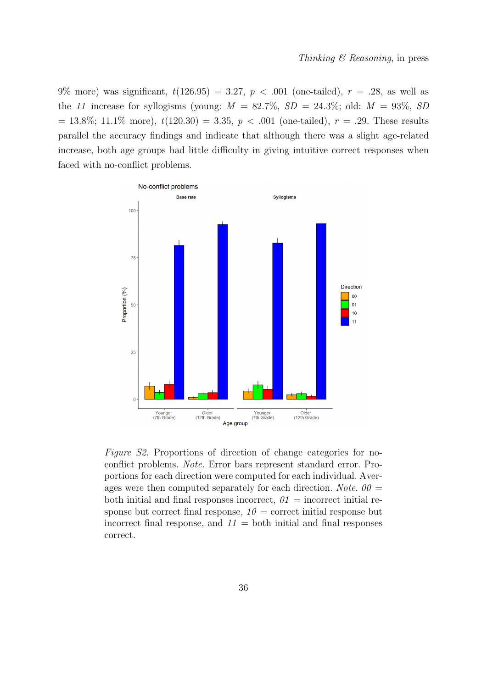9% more) was significant,  $t(126.95) = 3.27, p < .001$  (one-tailed),  $r = .28$ , as well as the 11 increase for syllogisms (young:  $M = 82.7\%$ ,  $SD = 24.3\%$ ; old:  $M = 93\%$ ,  $SD$  $= 13.8\%; 11.1\%$  more),  $t(120.30) = 3.35, p < .001$  (one-tailed),  $r = .29$ . These results parallel the accuracy findings and indicate that although there was a slight age-related increase, both age groups had little difficulty in giving intuitive correct responses when faced with no-conflict problems.



Figure S2. Proportions of direction of change categories for noconflict problems. Note. Error bars represent standard error. Proportions for each direction were computed for each individual. Averages were then computed separately for each direction. Note.  $00 =$ both initial and final responses incorrect,  $\theta_1 =$  incorrect initial response but correct final response,  $10 =$  correct initial response but incorrect final response, and  $11 =$  both initial and final responses correct.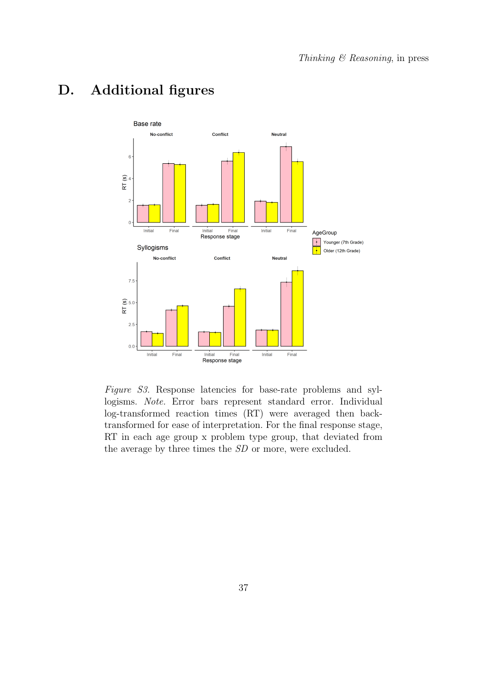

# D. Additional figures

Figure S3. Response latencies for base-rate problems and syllogisms. Note. Error bars represent standard error. Individual log-transformed reaction times (RT) were averaged then backtransformed for ease of interpretation. For the final response stage, RT in each age group x problem type group, that deviated from the average by three times the SD or more, were excluded.